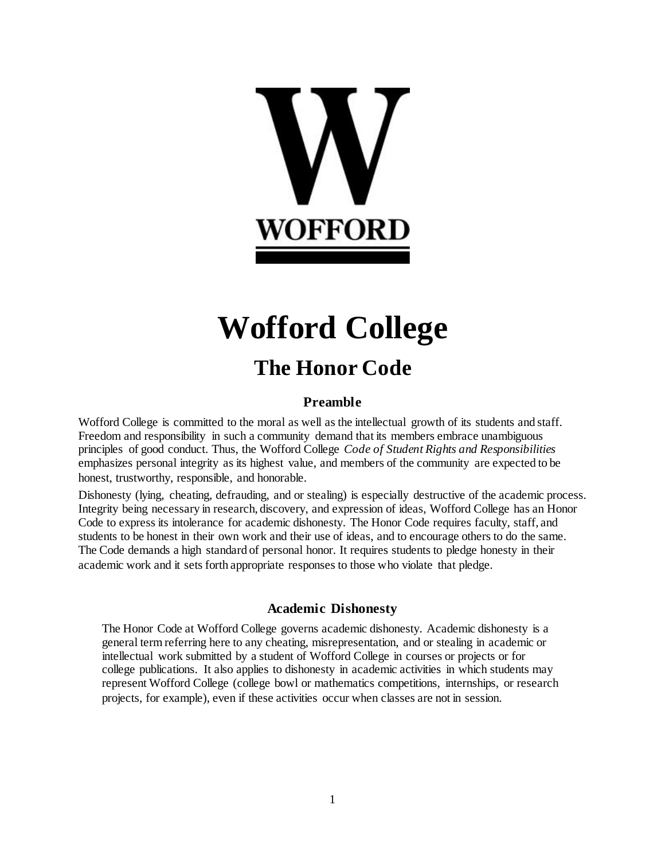

# **Wofford College The Honor Code**

# **Preamble**

Wofford College is committed to the moral as well as the intellectual growth of its students and staff. Freedom and responsibility in such a community demand that its members embrace unambiguous principles of good conduct. Thus, the Wofford College *Code of Student Rights and Responsibilities*  emphasizes personal integrity as its highest value, and members of the community are expected to be honest, trustworthy, responsible, and honorable.

Dishonesty (lying, cheating, defrauding, and or stealing) is especially destructive of the academic process. Integrity being necessary in research, discovery, and expression of ideas, Wofford College has an Honor Code to express its intolerance for academic dishonesty. The Honor Code requires faculty, staff, and students to be honest in their own work and their use of ideas, and to encourage others to do the same. The Code demands a high standard of personal honor. It requires students to pledge honesty in their academic work and it sets forth appropriate responses to those who violate that pledge.

# **Academic Dishonesty**

The Honor Code at Wofford College governs academic dishonesty. Academic dishonesty is a general term referring here to any cheating, misrepresentation, and or stealing in academic or intellectual work submitted by a student of Wofford College in courses or projects or for college publications. It also applies to dishonesty in academic activities in which students may represent Wofford College (college bowl or mathematics competitions, internships, or research projects, for example), even if these activities occur when classes are not in session.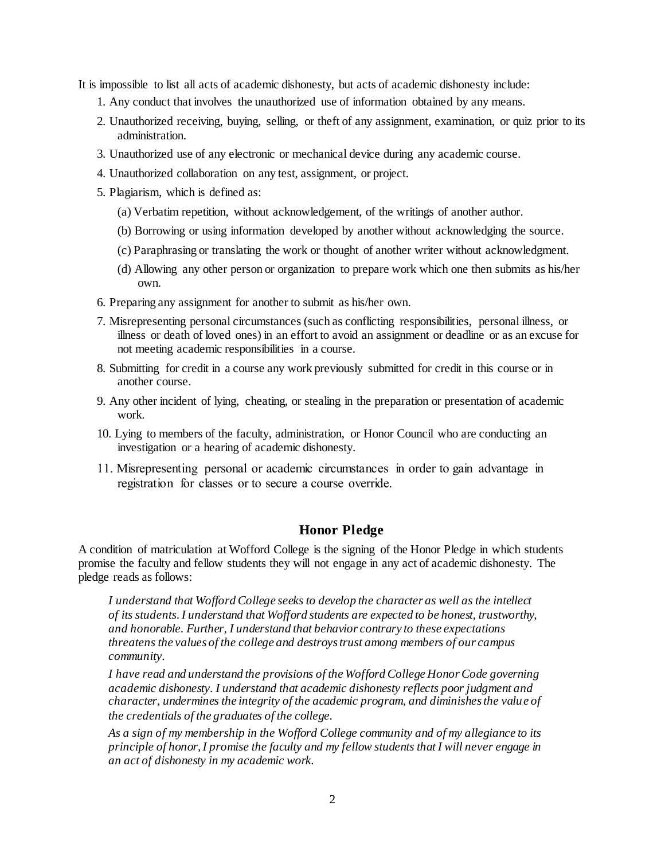It is impossible to list all acts of academic dishonesty, but acts of academic dishonesty include:

- 1. Any conduct that involves the unauthorized use of information obtained by any means.
- 2. Unauthorized receiving, buying, selling, or theft of any assignment, examination, or quiz prior to its administration.
- 3. Unauthorized use of any electronic or mechanical device during any academic course.
- 4. Unauthorized collaboration on any test, assignment, or project.
- 5. Plagiarism, which is defined as:
	- (a) Verbatim repetition, without acknowledgement, of the writings of another author.
	- (b) Borrowing or using information developed by another without acknowledging the source.
	- (c) Paraphrasing or translating the work or thought of another writer without acknowledgment.
	- (d) Allowing any other person or organization to prepare work which one then submits as his/her own.
- 6. Preparing any assignment for another to submit as his/her own.
- 7. Misrepresenting personal circumstances (such as conflicting responsibilities, personal illness, or illness or death of loved ones) in an effort to avoid an assignment or deadline or as an excuse for not meeting academic responsibilities in a course.
- 8. Submitting for credit in a course any work previously submitted for credit in this course or in another course.
- 9. Any other incident of lying, cheating, or stealing in the preparation or presentation of academic work.
- 10. Lying to members of the faculty, administration, or Honor Council who are conducting an investigation or a hearing of academic dishonesty.
- **11. Misrepresenting personal or academic circumstances in order to gain advantage in registration for classes or to secure a course override.**

# **Honor Pledge**

A condition of matriculation at Wofford College is the signing of the Honor Pledge in which students promise the faculty and fellow students they will not engage in any act of academic dishonesty. The pledge reads as follows:

*I understand that Wofford College seeks to develop the character as well as the intellect of its students. I understand that Wofford students are expected to be honest, trustworthy, and honorable. Further, I understand that behavior contrary to these expectations threatens the values of the college and destroys trust among members of our campus community.* 

*I have read and understand the provisions of the Wofford College Honor Code governing academic dishonesty. I understand that academic dishonesty reflects poor judgment and character, undermines the integrity of the academic program, and diminishes the value of the credentials of the graduates of the college.* 

*As a sign of my membership in the Wofford College community and of my allegiance to its principle of honor, I promise the faculty and my fellow students that I will never engage in an act of dishonesty in my academic work.*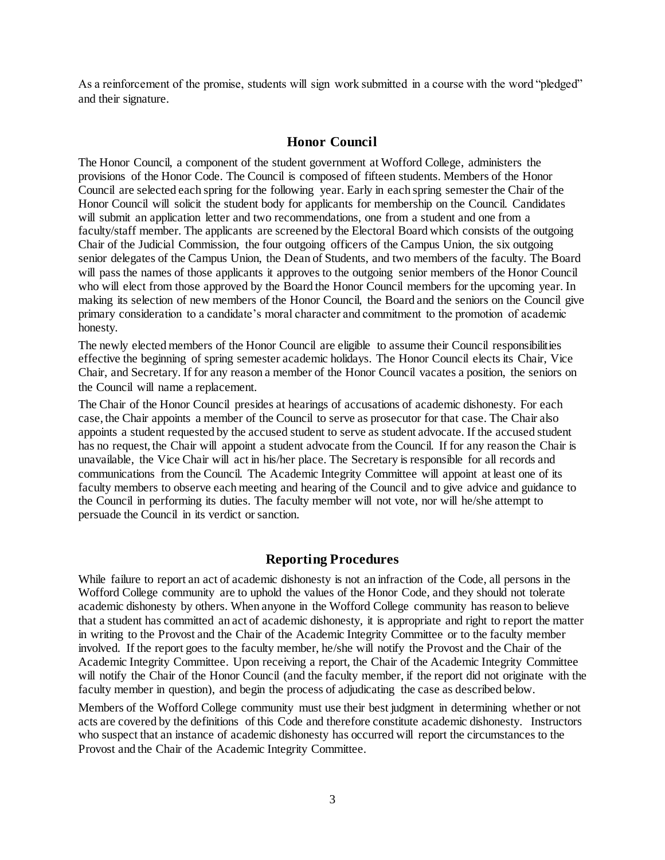As a reinforcement of the promise, students will sign work submitted in a course with the word "pledged" and their signature.

### **Honor Council**

The Honor Council, a component of the student government at Wofford College, administers the provisions of the Honor Code. The Council is composed of fifteen students. Members of the Honor Council are selected each spring for the following year. Early in each spring semester the Chair of the Honor Council will solicit the student body for applicants for membership on the Council. Candidates will submit an application letter and two recommendations, one from a student and one from a faculty/staff member. The applicants are screened by the Electoral Board which consists of the outgoing Chair of the Judicial Commission, the four outgoing officers of the Campus Union, the six outgoing senior delegates of the Campus Union, the Dean of Students, and two members of the faculty. The Board will pass the names of those applicants it approves to the outgoing senior members of the Honor Council who will elect from those approved by the Board the Honor Council members for the upcoming year. In making its selection of new members of the Honor Council, the Board and the seniors on the Council give primary consideration to a candidate's moral character and commitment to the promotion of academic honesty.

The newly elected members of the Honor Council are eligible to assume their Council responsibilities effective the beginning of spring semester academic holidays. The Honor Council elects its Chair, Vice Chair, and Secretary. If for any reason a member of the Honor Council vacates a position, the seniors on the Council will name a replacement.

The Chair of the Honor Council presides at hearings of accusations of academic dishonesty. For each case, the Chair appoints a member of the Council to serve as prosecutor for that case. The Chair also appoints a student requested by the accused student to serve as student advocate. If the accused student has no request, the Chair will appoint a student advocate from the Council. If for any reason the Chair is unavailable, the Vice Chair will act in his/her place. The Secretary is responsible for all records and communications from the Council. The Academic Integrity Committee will appoint at least one of its faculty members to observe each meeting and hearing of the Council and to give advice and guidance to the Council in performing its duties. The faculty member will not vote, nor will he/she attempt to persuade the Council in its verdict or sanction.

# **Reporting Procedures**

While failure to report an act of academic dishonesty is not an infraction of the Code, all persons in the Wofford College community are to uphold the values of the Honor Code, and they should not tolerate academic dishonesty by others. When anyone in the Wofford College community has reason to believe that a student has committed an act of academic dishonesty, it is appropriate and right to report the matter in writing to the Provost and the Chair of the Academic Integrity Committee or to the faculty member involved. If the report goes to the faculty member, he/she will notify the Provost and the Chair of the Academic Integrity Committee. Upon receiving a report, the Chair of the Academic Integrity Committee will notify the Chair of the Honor Council (and the faculty member, if the report did not originate with the faculty member in question), and begin the process of adjudicating the case as described below.

Members of the Wofford College community must use their best judgment in determining whether or not acts are covered by the definitions of this Code and therefore constitute academic dishonesty. Instructors who suspect that an instance of academic dishonesty has occurred will report the circumstances to the Provost and the Chair of the Academic Integrity Committee.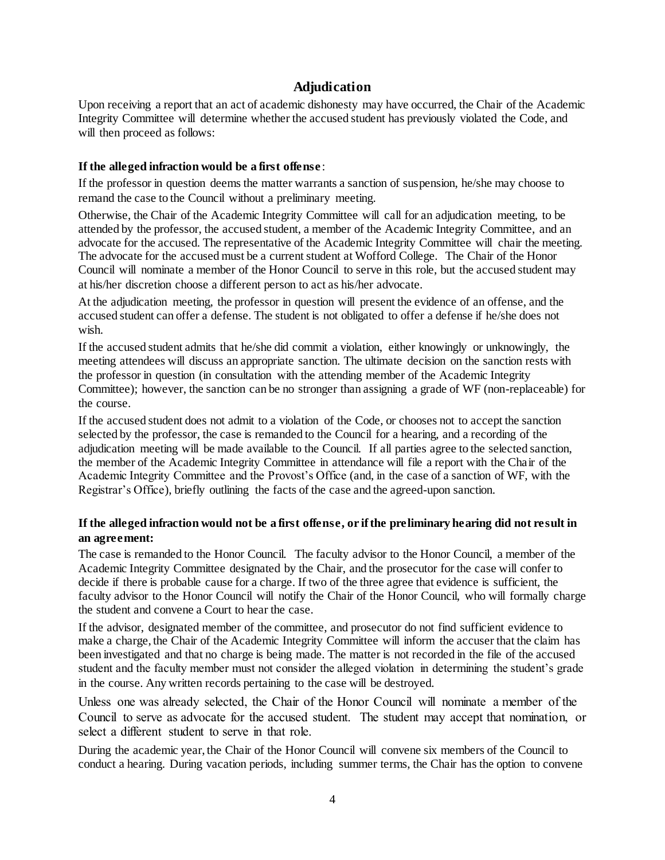# **Adjudication**

Upon receiving a report that an act of academic dishonesty may have occurred, the Chair of the Academic Integrity Committee will determine whether the accused student has previously violated the Code, and will then proceed as follows:

#### **If the alleged infraction would be a first offense** :

If the professor in question deems the matter warrants a sanction of suspension, he/she may choose to remand the case to the Council without a preliminary meeting.

Otherwise, the Chair of the Academic Integrity Committee will call for an adjudication meeting, to be attended by the professor, the accused student, a member of the Academic Integrity Committee, and an advocate for the accused. The representative of the Academic Integrity Committee will chair the meeting. The advocate for the accused must be a current student at Wofford College. The Chair of the Honor Council will nominate a member of the Honor Council to serve in this role, but the accused student may at his/her discretion choose a different person to act as his/her advocate.

At the adjudication meeting, the professor in question will present the evidence of an offense, and the accused student can offer a defense. The student is not obligated to offer a defense if he/she does not wish.

If the accused student admits that he/she did commit a violation, either knowingly or unknowingly, the meeting attendees will discuss an appropriate sanction. The ultimate decision on the sanction rests with the professor in question (in consultation with the attending member of the Academic Integrity Committee); however, the sanction can be no stronger than assigning a grade of WF (non-replaceable) for the course.

If the accused student does not admit to a violation of the Code, or chooses not to accept the sanction selected by the professor, the case is remanded to the Council for a hearing, and a recording of the adjudication meeting will be made available to the Council. If all parties agree to the selected sanction, the member of the Academic Integrity Committee in attendance will file a report with the Chair of the Academic Integrity Committee and the Provost's Office (and, in the case of a sanction of WF, with the Registrar's Office), briefly outlining the facts of the case and the agreed-upon sanction.

# **If the alleged infraction would not be a first offense, or if the preliminary hearing did not result in an agreement:**

The case is remanded to the Honor Council. The faculty advisor to the Honor Council, a member of the Academic Integrity Committee designated by the Chair, and the prosecutor for the case will confer to decide if there is probable cause for a charge. If two of the three agree that evidence is sufficient, the faculty advisor to the Honor Council will notify the Chair of the Honor Council, who will formally charge the student and convene a Court to hear the case.

If the advisor, designated member of the committee, and prosecutor do not find sufficient evidence to make a charge, the Chair of the Academic Integrity Committee will inform the accuser that the claim has been investigated and that no charge is being made. The matter is not recorded in the file of the accused student and the faculty member must not consider the alleged violation in determining the student's grade in the course. Any written records pertaining to the case will be destroyed.

**Unless one was already selected, the Chair of the Honor Council will nominate a member of the Council to serve as advocate for the accused student. The student may accept that nomination, or select a different student to serve in that role.**

During the academic year, the Chair of the Honor Council will convene six members of the Council to conduct a hearing. During vacation periods, including summer terms, the Chair has the option to convene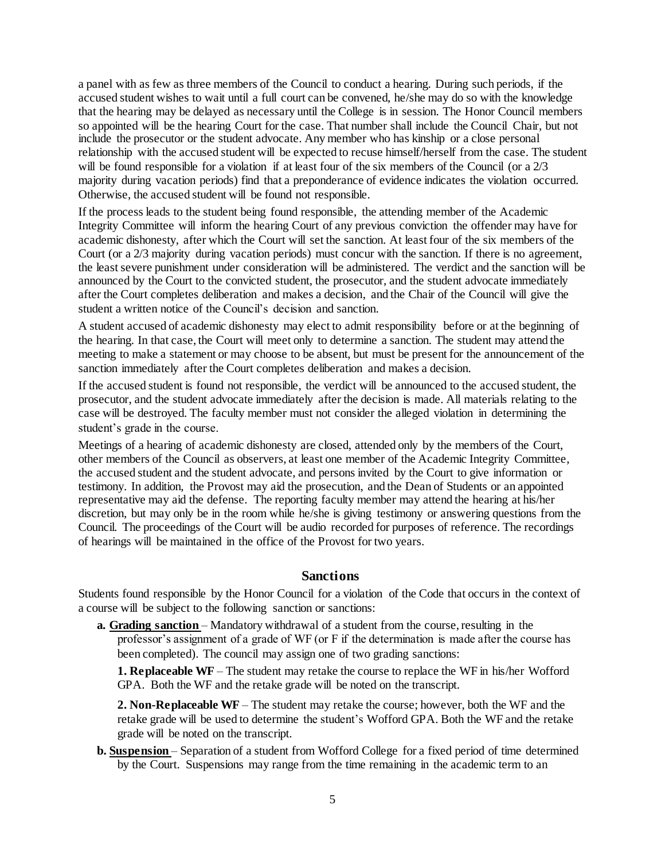a panel with as few as three members of the Council to conduct a hearing. During such periods, if the accused student wishes to wait until a full court can be convened, he/she may do so with the knowledge that the hearing may be delayed as necessary until the College is in session. The Honor Council members so appointed will be the hearing Court for the case. That number shall include the Council Chair, but not include the prosecutor or the student advocate. Any member who has kinship or a close personal relationship with the accused student will be expected to recuse himself/herself from the case. The student will be found responsible for a violation if at least four of the six members of the Council (or a 2/3 majority during vacation periods) find that a preponderance of evidence indicates the violation occurred. Otherwise, the accused student will be found not responsible.

If the process leads to the student being found responsible, the attending member of the Academic Integrity Committee will inform the hearing Court of any previous conviction the offender may have for academic dishonesty, after which the Court will set the sanction. At least four of the six members of the Court (or a 2/3 majority during vacation periods) must concur with the sanction. If there is no agreement, the least severe punishment under consideration will be administered. The verdict and the sanction will be announced by the Court to the convicted student, the prosecutor, and the student advocate immediately after the Court completes deliberation and makes a decision, and the Chair of the Council will give the student a written notice of the Council's decision and sanction.

A student accused of academic dishonesty may elect to admit responsibility before or at the beginning of the hearing. In that case, the Court will meet only to determine a sanction. The student may attend the meeting to make a statement or may choose to be absent, but must be present for the announcement of the sanction immediately after the Court completes deliberation and makes a decision.

If the accused student is found not responsible, the verdict will be announced to the accused student, the prosecutor, and the student advocate immediately after the decision is made. All materials relating to the case will be destroyed. The faculty member must not consider the alleged violation in determining the student's grade in the course.

Meetings of a hearing of academic dishonesty are closed, attended only by the members of the Court, other members of the Council as observers, at least one member of the Academic Integrity Committee, the accused student and the student advocate, and persons invited by the Court to give information or testimony. In addition, the Provost may aid the prosecution, and the Dean of Students or an appointed representative may aid the defense. The reporting faculty member may attend the hearing at his/her discretion, but may only be in the room while he/she is giving testimony or answering questions from the Council. The proceedings of the Court will be audio recorded for purposes of reference. The recordings of hearings will be maintained in the office of the Provost for two years.

#### **Sanctions**

Students found responsible by the Honor Council for a violation of the Code that occurs in the context of a course will be subject to the following sanction or sanctions:

**a. Grading sanction** – Mandatory withdrawal of a student from the course, resulting in the professor's assignment of a grade of WF (or F if the determination is made after the course has been completed). The council may assign one of two grading sanctions:

**1. Replaceable WF** – The student may retake the course to replace the WF in his/her Wofford GPA. Both the WF and the retake grade will be noted on the transcript.

**2. Non-Replaceable WF** – The student may retake the course; however, both the WF and the retake grade will be used to determine the student's Wofford GPA. Both the WF and the retake grade will be noted on the transcript.

**b. Suspension** – Separation of a student from Wofford College for a fixed period of time determined by the Court. Suspensions may range from the time remaining in the academic term to an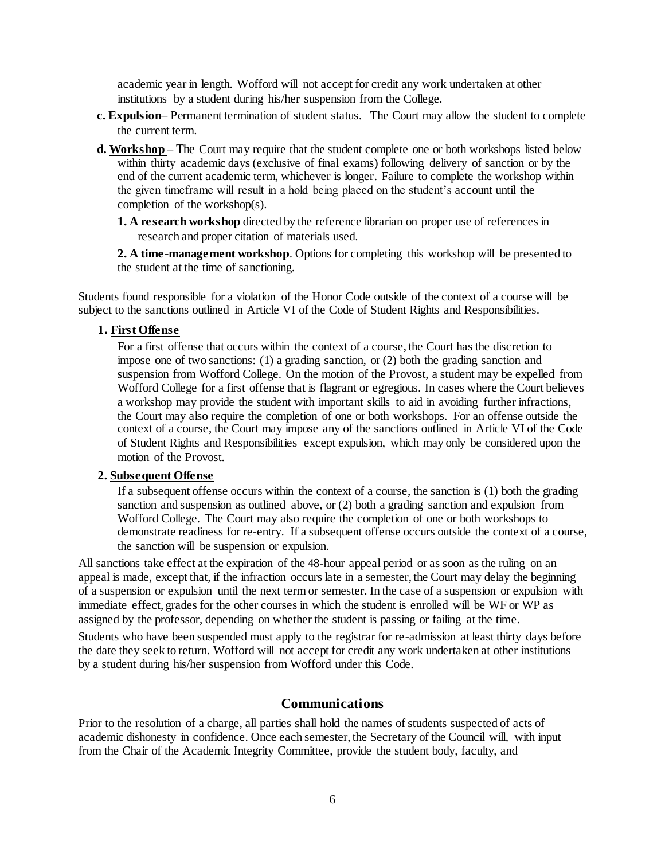academic year in length. Wofford will not accept for credit any work undertaken at other institutions by a student during his/her suspension from the College.

- **c. Expulsion** Permanent termination of student status. The Court may allow the student to complete the current term.
- **d. Workshop**  The Court may require that the student complete one or both workshops listed below within thirty academic days (exclusive of final exams) following delivery of sanction or by the end of the current academic term, whichever is longer. Failure to complete the workshop within the given timeframe will result in a hold being placed on the student's account until the completion of the workshop(s).
	- **1. A research workshop** directed by the reference librarian on proper use of references in research and proper citation of materials used.

**2. A time-management workshop**. Options for completing this workshop will be presented to the student at the time of sanctioning.

Students found responsible for a violation of the Honor Code outside of the context of a course will be subject to the sanctions outlined in Article VI of the Code of Student Rights and Responsibilities.

#### **1. First Offense**

For a first offense that occurs within the context of a course, the Court has the discretion to impose one of two sanctions: (1) a grading sanction, or (2) both the grading sanction and suspension from Wofford College. On the motion of the Provost, a student may be expelled from Wofford College for a first offense that is flagrant or egregious. In cases where the Court believes a workshop may provide the student with important skills to aid in avoiding further infractions, the Court may also require the completion of one or both workshops. For an offense outside the context of a course, the Court may impose any of the sanctions outlined in Article VI of the Code of Student Rights and Responsibilities except expulsion, which may only be considered upon the motion of the Provost.

#### **2. Subsequent Offense**

If a subsequent offense occurs within the context of a course, the sanction is (1) both the grading sanction and suspension as outlined above, or (2) both a grading sanction and expulsion from Wofford College. The Court may also require the completion of one or both workshops to demonstrate readiness for re-entry. If a subsequent offense occurs outside the context of a course, the sanction will be suspension or expulsion.

All sanctions take effect at the expiration of the 48-hour appeal period or as soon as the ruling on an appeal is made, except that, if the infraction occurs late in a semester, the Court may delay the beginning of a suspension or expulsion until the next term or semester. In the case of a suspension or expulsion with immediate effect, grades for the other courses in which the student is enrolled will be WF or WP as assigned by the professor, depending on whether the student is passing or failing at the time.

Students who have been suspended must apply to the registrar for re-admission at least thirty days before the date they seek to return. Wofford will not accept for credit any work undertaken at other institutions by a student during his/her suspension from Wofford under this Code.

#### **Communications**

Prior to the resolution of a charge, all parties shall hold the names of students suspected of acts of academic dishonesty in confidence. Once each semester, the Secretary of the Council will, with input from the Chair of the Academic Integrity Committee, provide the student body, faculty, and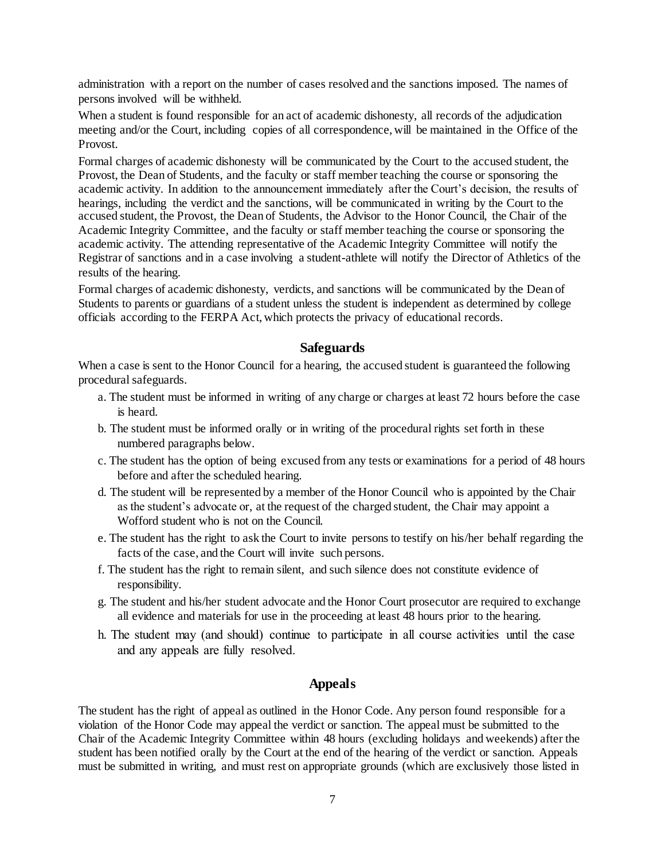administration with a report on the number of cases resolved and the sanctions imposed. The names of persons involved will be withheld.

When a student is found responsible for an act of academic dishonesty, all records of the adjudication meeting and/or the Court, including copies of all correspondence, will be maintained in the Office of the Provost.

Formal charges of academic dishonesty will be communicated by the Court to the accused student, the Provost, the Dean of Students, and the faculty or staff member teaching the course or sponsoring the academic activity. In addition to the announcement immediately after the Court's decision, the results of hearings, including the verdict and the sanctions, will be communicated in writing by the Court to the accused student, the Provost, the Dean of Students, the Advisor to the Honor Council, the Chair of the Academic Integrity Committee, and the faculty or staff member teaching the course or sponsoring the academic activity. The attending representative of the Academic Integrity Committee will notify the Registrar of sanctions and in a case involving a student-athlete will notify the Director of Athletics of the results of the hearing.

Formal charges of academic dishonesty, verdicts, and sanctions will be communicated by the Dean of Students to parents or guardians of a student unless the student is independent as determined by college officials according to the FERPA Act, which protects the privacy of educational records.

### **Safeguards**

When a case is sent to the Honor Council for a hearing, the accused student is guaranteed the following procedural safeguards.

- a. The student must be informed in writing of any charge or charges at least 72 hours before the case is heard.
- b. The student must be informed orally or in writing of the procedural rights set forth in these numbered paragraphs below.
- c. The student has the option of being excused from any tests or examinations for a period of 48 hours before and after the scheduled hearing.
- d. The student will be represented by a member of the Honor Council who is appointed by the Chair as the student's advocate or, at the request of the charged student, the Chair may appoint a Wofford student who is not on the Council.
- e. The student has the right to ask the Court to invite persons to testify on his/her behalf regarding the facts of the case, and the Court will invite such persons.
- f. The student has the right to remain silent, and such silence does not constitute evidence of responsibility.
- g. The student and his/her student advocate and the Honor Court prosecutor are required to exchange all evidence and materials for use in the proceeding at least 48 hours prior to the hearing.
- **h. The student may (and should) continue to participate in all course activities until the case and any appeals are fully resolved.**

# **Appeals**

The student has the right of appeal as outlined in the Honor Code. Any person found responsible for a violation of the Honor Code may appeal the verdict or sanction. The appeal must be submitted to the Chair of the Academic Integrity Committee within 48 hours (excluding holidays and weekends) after the student has been notified orally by the Court at the end of the hearing of the verdict or sanction. Appeals must be submitted in writing, and must rest on appropriate grounds (which are exclusively those listed in